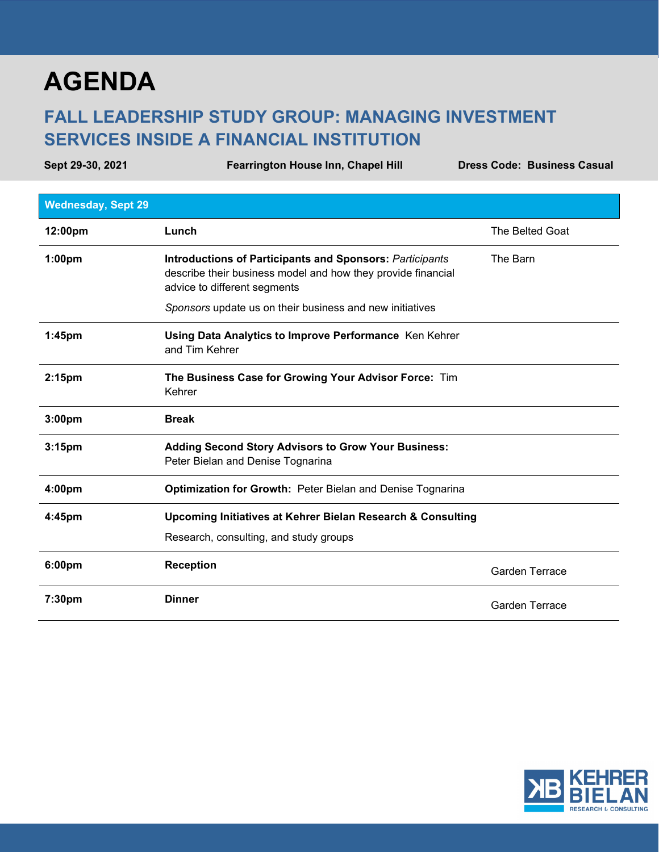# **AGENDA**

## **FALL LEADERSHIP STUDY GROUP: MANAGING INVESTMENT SERVICES INSIDE A FINANCIAL INSTITUTION**

**Sept 29-30, 2021 Fearrington House Inn, Chapel Hill Dress Code: Business Casual Wednesday, Sept 29 12:00pm Lunch Lunch Lunch Lunch The Belted Goat 1:00pm Introductions of Participants and Sponsors:** *Participants* describe their business model and how they provide financial advice to different segments *Sponsors* update us on their business and new initiatives The Barn **1:45pm Using Data Analytics to Improve Performance** Ken Kehrer and Tim Kehrer **2:15pm The Business Case for Growing Your Advisor Force:** Tim Kehrer **3:00pm Break 3:15pm Adding Second Story Advisors to Grow Your Business:**  Peter Bielan and Denise Tognarina **4:00pm Optimization for Growth:** Peter Bielan and Denise Tognarina **4:45pm Upcoming Initiatives at Kehrer Bielan Research & Consulting** Research, consulting, and study groups **6:00pm Reception** Garden Terrace **7:30pm Dinner** Garden Terrace